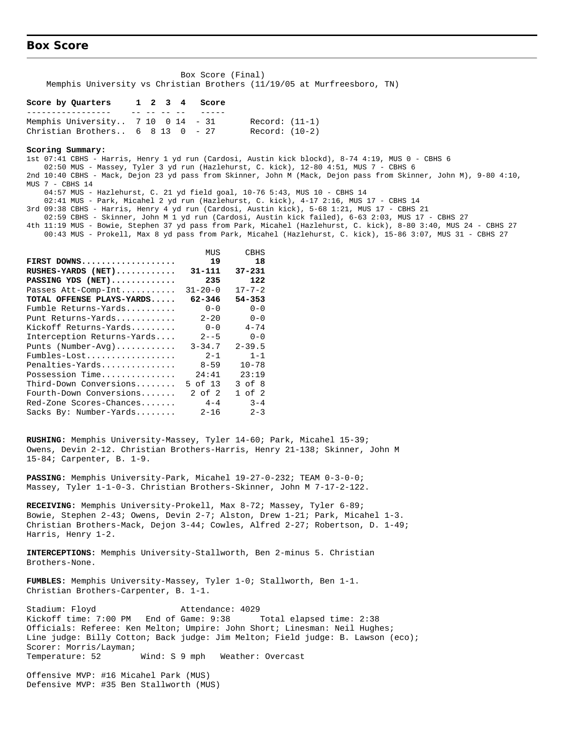#### **Box Score**

| Box Score (Final) |  |  |  |  |  |  |                                                                         |  |  |  |  |
|-------------------|--|--|--|--|--|--|-------------------------------------------------------------------------|--|--|--|--|
|                   |  |  |  |  |  |  | Memphis University vs Christian Brothers (11/19/05 at Murfreesboro, TN) |  |  |  |  |

#### **Score by Quarters 1 2 3 4 Score**

| Memphis University $7\ 10\ 0\ 14\ -31$            |  |  | Record: (11-1) |
|---------------------------------------------------|--|--|----------------|
| Christian Brothers $6 \t 8 \t 13 \t 0 \t - \t 27$ |  |  | Record: (10-2) |

#### **Scoring Summary:**

1st 07:41 CBHS - Harris, Henry 1 yd run (Cardosi, Austin kick blockd), 8-74 4:19, MUS 0 - CBHS 6 02:50 MUS - Massey, Tyler 3 yd run (Hazlehurst, C. kick), 12-80 4:51, MUS 7 - CBHS 6 2nd 10:40 CBHS - Mack, Dejon 23 yd pass from Skinner, John M (Mack, Dejon pass from Skinner, John M), 9-80 4:10, MUS 7 - CBHS 14 04:57 MUS - Hazlehurst, C. 21 yd field goal, 10-76 5:43, MUS 10 - CBHS 14

 02:41 MUS - Park, Micahel 2 yd run (Hazlehurst, C. kick), 4-17 2:16, MUS 17 - CBHS 14 3rd 09:38 CBHS - Harris, Henry 4 yd run (Cardosi, Austin kick), 5-68 1:21, MUS 17 - CBHS 21

- 
- 02:59 CBHS Skinner, John M 1 yd run (Cardosi, Austin kick failed), 6-63 2:03, MUS 17 CBHS 27
- 4th 11:19 MUS Bowie, Stephen 37 yd pass from Park, Micahel (Hazlehurst, C. kick), 8-80 3:40, MUS 24 CBHS 27 00:43 MUS - Prokell, Max 8 yd pass from Park, Micahel (Hazlehurst, C. kick), 15-86 3:07, MUS 31 - CBHS 27

|                            | MUS           | CBHS         |
|----------------------------|---------------|--------------|
| FIRST DOWNS                | 19            | 18           |
| RUSHES-YARDS (NET)         | 31-111        | $37 - 231$   |
| PASSING YDS (NET)          | 235           | 122          |
| Passes Att-Comp-Int        | $31 - 20 - 0$ | $17 - 7 - 2$ |
| TOTAL OFFENSE PLAYS-YARDS  | $62 - 346$    | 54-353       |
| Fumble Returns-Yards       | $0 - 0$       | $0 - 0$      |
| Punt Returns-Yards         | $2 - 20$      | $0 - 0$      |
| Kickoff Returns-Yards      | $0 - 0$       | $4 - 74$     |
| Interception Returns-Yards | $2 - -5$      | $0 - 0$      |
| Punts (Number-Avg)         | $3 - 34.7$    | $2 - 39.5$   |
| Fumbles-Lost               | $2 - 1$       | $1 - 1$      |
| Penalties-Yards            | $8 - 59$      | $10 - 78$    |
| Possession Time            | 24:41         | 23:19        |
| Third-Down Conversions     | 5 of 13       | $3$ of $8$   |
| Fourth-Down Conversions    | $2$ of $2$    | $1$ of $2$   |
| Red-Zone Scores-Chances    | $4 - 4$       | $3 - 4$      |
| Sacks By: Number-Yards     | $2 - 16$      | $2 - 3$      |

**RUSHING:** Memphis University-Massey, Tyler 14-60; Park, Micahel 15-39; Owens, Devin 2-12. Christian Brothers-Harris, Henry 21-138; Skinner, John M 15-84; Carpenter, B. 1-9.

**PASSING:** Memphis University-Park, Micahel 19-27-0-232; TEAM 0-3-0-0; Massey, Tyler 1-1-0-3. Christian Brothers-Skinner, John M 7-17-2-122.

**RECEIVING:** Memphis University-Prokell, Max 8-72; Massey, Tyler 6-89; Bowie, Stephen 2-43; Owens, Devin 2-7; Alston, Drew 1-21; Park, Micahel 1-3. Christian Brothers-Mack, Dejon 3-44; Cowles, Alfred 2-27; Robertson, D. 1-49; Harris, Henry 1-2.

**INTERCEPTIONS:** Memphis University-Stallworth, Ben 2-minus 5. Christian Brothers-None.

**FUMBLES:** Memphis University-Massey, Tyler 1-0; Stallworth, Ben 1-1. Christian Brothers-Carpenter, B. 1-1.

Stadium: Floyd Attendance: 4029 Kickoff time: 7:00 PM End of Game: 9:38 Total elapsed time: 2:38 Officials: Referee: Ken Melton; Umpire: John Short; Linesman: Neil Hughes; Line judge: Billy Cotton; Back judge: Jim Melton; Field judge: B. Lawson (eco); Scorer: Morris/Layman; Temperature: 52 Wind: S 9 mph Weather: Overcast

Offensive MVP: #16 Micahel Park (MUS) Defensive MVP: #35 Ben Stallworth (MUS)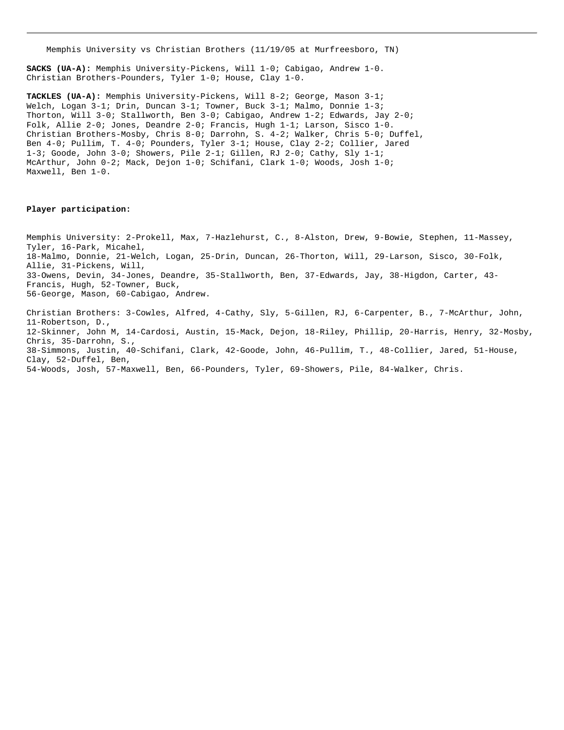Memphis University vs Christian Brothers (11/19/05 at Murfreesboro, TN)

**SACKS (UA-A):** Memphis University-Pickens, Will 1-0; Cabigao, Andrew 1-0. Christian Brothers-Pounders, Tyler 1-0; House, Clay 1-0.

**TACKLES (UA-A):** Memphis University-Pickens, Will 8-2; George, Mason 3-1; Welch, Logan 3-1; Drin, Duncan 3-1; Towner, Buck 3-1; Malmo, Donnie 1-3; Thorton, Will 3-0; Stallworth, Ben 3-0; Cabigao, Andrew 1-2; Edwards, Jay 2-0; Folk, Allie 2-0; Jones, Deandre 2-0; Francis, Hugh 1-1; Larson, Sisco 1-0. Christian Brothers-Mosby, Chris 8-0; Darrohn, S. 4-2; Walker, Chris 5-0; Duffel, Ben 4-0; Pullim, T. 4-0; Pounders, Tyler 3-1; House, Clay 2-2; Collier, Jared 1-3; Goode, John 3-0; Showers, Pile 2-1; Gillen, RJ 2-0; Cathy, Sly 1-1; McArthur, John 0-2; Mack, Dejon 1-0; Schifani, Clark 1-0; Woods, Josh 1-0; Maxwell, Ben 1-0.

#### **Player participation:**

Memphis University: 2-Prokell, Max, 7-Hazlehurst, C., 8-Alston, Drew, 9-Bowie, Stephen, 11-Massey, Tyler, 16-Park, Micahel, 18-Malmo, Donnie, 21-Welch, Logan, 25-Drin, Duncan, 26-Thorton, Will, 29-Larson, Sisco, 30-Folk, Allie, 31-Pickens, Will, 33-Owens, Devin, 34-Jones, Deandre, 35-Stallworth, Ben, 37-Edwards, Jay, 38-Higdon, Carter, 43- Francis, Hugh, 52-Towner, Buck, 56-George, Mason, 60-Cabigao, Andrew.

Christian Brothers: 3-Cowles, Alfred, 4-Cathy, Sly, 5-Gillen, RJ, 6-Carpenter, B., 7-McArthur, John, 11-Robertson, D., 12-Skinner, John M, 14-Cardosi, Austin, 15-Mack, Dejon, 18-Riley, Phillip, 20-Harris, Henry, 32-Mosby, Chris, 35-Darrohn, S., 38-Simmons, Justin, 40-Schifani, Clark, 42-Goode, John, 46-Pullim, T., 48-Collier, Jared, 51-House, Clay, 52-Duffel, Ben, 54-Woods, Josh, 57-Maxwell, Ben, 66-Pounders, Tyler, 69-Showers, Pile, 84-Walker, Chris.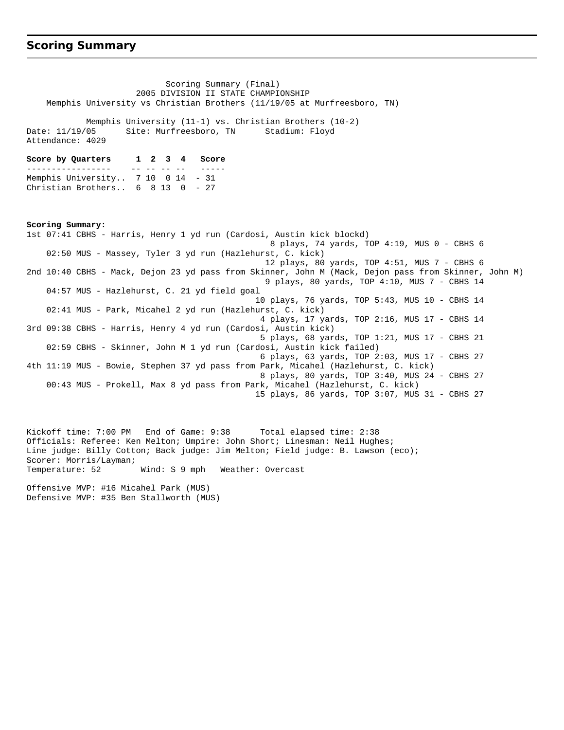#### **Scoring Summary**

 Scoring Summary (Final) 2005 DIVISION II STATE CHAMPIONSHIP Memphis University vs Christian Brothers (11/19/05 at Murfreesboro, TN) Memphis University (11-1) vs. Christian Brothers (10-2) Date: 11/19/05 Site: Murfreesboro, TN Stadium: Floyd Attendance: 4029 **Score by Quarters 1 2 3 4 Score** ----------------- -- -- -- -- ----- Memphis University.. 7 10 0 14 - 31 Christian Brothers.. 6 8 13 0 - 27 **Scoring Summary:** 1st 07:41 CBHS - Harris, Henry 1 yd run (Cardosi, Austin kick blockd) 8 plays, 74 yards, TOP 4:19, MUS 0 - CBHS 6 02:50 MUS - Massey, Tyler 3 yd run (Hazlehurst, C. kick) 12 plays, 80 yards, TOP 4:51, MUS 7 - CBHS 6 2nd 10:40 CBHS - Mack, Dejon 23 yd pass from Skinner, John M (Mack, Dejon pass from Skinner, John M) 9 plays, 80 yards, TOP 4:10, MUS 7 - CBHS 14 04:57 MUS - Hazlehurst, C. 21 yd field goal 10 plays, 76 yards, TOP 5:43, MUS 10 - CBHS 14 02:41 MUS - Park, Micahel 2 yd run (Hazlehurst, C. kick) 4 plays, 17 yards, TOP 2:16, MUS 17 - CBHS 14 3rd 09:38 CBHS - Harris, Henry 4 yd run (Cardosi, Austin kick) 5 plays, 68 yards, TOP 1:21, MUS 17 - CBHS 21 02:59 CBHS - Skinner, John M 1 yd run (Cardosi, Austin kick failed) 6 plays, 63 yards, TOP 2:03, MUS 17 - CBHS 27 4th 11:19 MUS - Bowie, Stephen 37 yd pass from Park, Micahel (Hazlehurst, C. kick) 8 plays, 80 yards, TOP 3:40, MUS 24 - CBHS 27 00:43 MUS - Prokell, Max 8 yd pass from Park, Micahel (Hazlehurst, C. kick) 15 plays, 86 yards, TOP 3:07, MUS 31 - CBHS 27

Kickoff time: 7:00 PM End of Game: 9:38 Total elapsed time: 2:38 Officials: Referee: Ken Melton; Umpire: John Short; Linesman: Neil Hughes; Line judge: Billy Cotton; Back judge: Jim Melton; Field judge: B. Lawson (eco); Scorer: Morris/Layman; Temperature: 52 Wind: S 9 mph Weather: Overcast

Offensive MVP: #16 Micahel Park (MUS) Defensive MVP: #35 Ben Stallworth (MUS)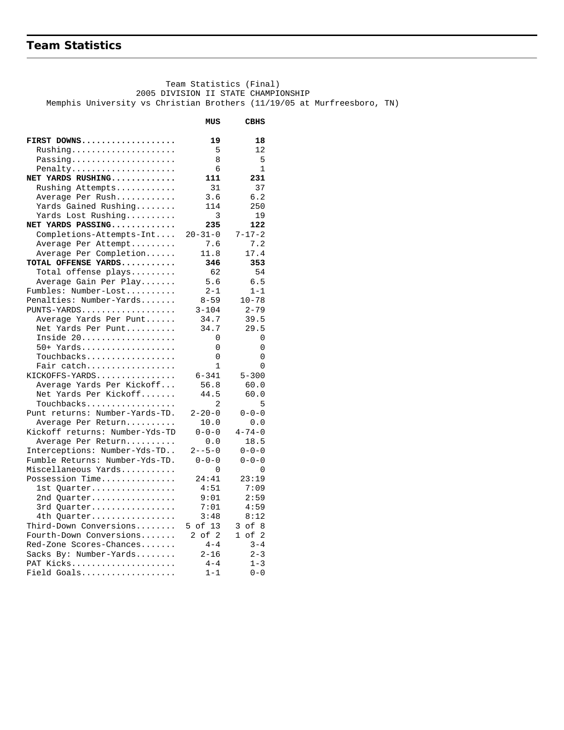# **Team Statistics**

 Team Statistics (Final) 2005 DIVISION II STATE CHAMPIONSHIP Memphis University vs Christian Brothers (11/19/05 at Murfreesboro, TN)

|                                                      | MUS                 | <b>CBHS</b>             |
|------------------------------------------------------|---------------------|-------------------------|
| FIRST DOWNS                                          | 19                  | 18                      |
| Rushing                                              | 5                   | 12                      |
| Passing                                              | 8                   | 5                       |
| Penalty                                              | 6                   | 1                       |
| NET YARDS RUSHING                                    | 111                 | 231                     |
| Rushing Attempts                                     | 31                  | 37                      |
| Average Per Rush                                     | 3.6                 | 6.2                     |
| Yards Gained Rushing                                 | 114                 | 250                     |
| Yards Lost Rushing                                   | 3                   | 19                      |
| NET YARDS PASSING                                    | 235                 | 122                     |
| Completions-Attempts-Int                             | $20 - 31 - 0$       | $7 - 17 - 2$            |
| Average Per Attempt                                  | 7.6                 | 7.2                     |
| Average Per Completion                               | 11.8                | 17.4                    |
| TOTAL OFFENSE YARDS                                  | 346                 | 353                     |
| Total offense plays                                  | 62                  | 54                      |
| Average Gain Per Play                                | 5.6                 | 6.5                     |
| Fumbles: Number-Lost                                 | $2 - 1$             | $1 - 1$                 |
| Penalties: Number-Yards                              | $8 - 59$            | $10 - 78$               |
| PUNTS-YARDS                                          | $3 - 104$           | $2 - 79$                |
| Average Yards Per Punt                               | 34.7                | 39.5                    |
| Net Yards Per Punt                                   | 34.7                | 29.5                    |
| Inside 20                                            | 0                   | 0                       |
| 50+ Yards                                            | 0                   | 0                       |
| Touchbacks                                           | 0                   | 0                       |
| Fair catch                                           | $\mathbf{1}$        | $\Omega$                |
| KICKOFFS-YARDS                                       | $6 - 341$           | $5 - 300$               |
| Average Yards Per Kickoff                            | 56.8                | 60.0                    |
| Net Yards Per Kickoff                                | 44.5                | 60.0                    |
| Touchbacks                                           | 2                   | 5                       |
| Punt returns: Number-Yards-TD.                       | $2 - 20 - 0$        | $0 - 0 - 0$             |
| Average Per Return                                   | 10.0<br>$0 - 0 - 0$ | 0.0<br>$4 - 74 - 0$     |
| Kickoff returns: Number-Yds-TD<br>Average Per Return | 0.0                 | 18.5                    |
| Interceptions: Number-Yds-TD                         | $2 - -5 - 0$        | $0 - 0 - 0$             |
| Fumble Returns: Number-Yds-TD.                       | $0 - 0 - 0$         | $0 - 0 - 0$             |
| Miscellaneous Yards                                  | 0                   | 0                       |
| Possession Time                                      | 24:41               | 23:19                   |
| lst Quarter                                          | 4:51                | 7:09                    |
| 2nd Quarter                                          | 9:01                | 2:59                    |
| 3rd Quarter                                          | 7:01                | 4:59                    |
| 4th Quarter                                          | 3:48                | 8:12                    |
| Third-Down Conversions                               | 5 of 13             | $3$ of $8$              |
| Fourth-Down Conversions                              | $2$ of $2$          | $\mathbf{1}$<br>of<br>2 |
| Red-Zone Scores-Chances                              | $4 - 4$             | $3 - 4$                 |
| Sacks By: Number-Yards                               | $2 - 16$            | $2 - 3$                 |
| PAT Kicks                                            | $4 - 4$             | $1 - 3$                 |
| Field Goals                                          | $1 - 1$             | $0 - 0$                 |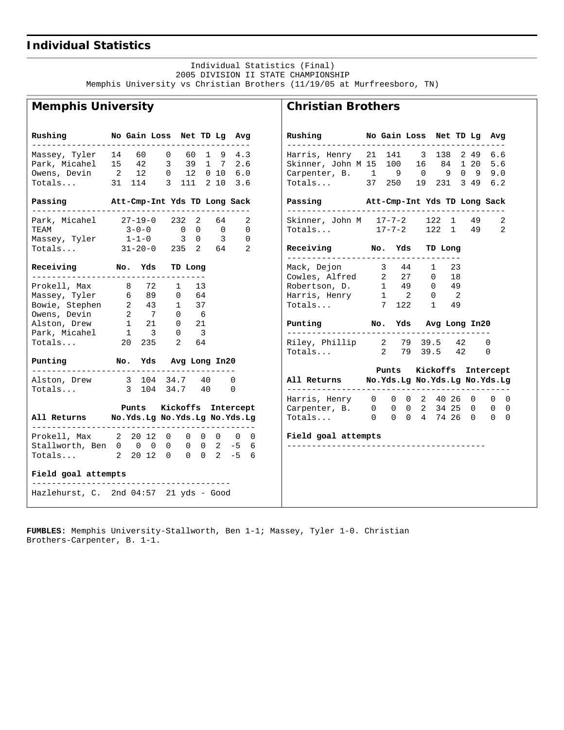### **Individual Statistics**

 Individual Statistics (Final) 2005 DIVISION II STATE CHAMPIONSHIP Memphis University vs Christian Brothers (11/19/05 at Murfreesboro, TN)

**Christian Brothers**

### **Memphis University**

| Rushing                                          | No Gain Loss Net TD Lg Avg |                |                    |    |                                 |                | Rushing No Gain Loss Net TD Lg<br>__________________        |       |              |      |      | Avg                            |
|--------------------------------------------------|----------------------------|----------------|--------------------|----|---------------------------------|----------------|-------------------------------------------------------------|-------|--------------|------|------|--------------------------------|
| Massey, Tyler                                    | 14 60                      | $\overline{0}$ |                    |    | 60 1 9 4.3                      |                | Harris, Henry 21 141 3 138                                  |       |              |      | 2 49 | 6.6                            |
| Park, Micahel 15 42                              |                            |                | 3 39 1 7           |    | 2.6                             |                | Skinner, John M 15 100 16 84 1 20 5.6                       |       |              |      |      |                                |
| Owens, Devin 2 12                                |                            |                | $0$ 12 0 10 6.0    |    |                                 |                | Carpenter, B. 1 9 0 9 0 9 9.0                               |       |              |      |      |                                |
| Totals 31 114                                    |                            |                | 3 111 2 10         |    | 3.6                             |                | Totals 37 250                                               |       |              |      |      | 19 231 3 49 6.2                |
| Passing Mtt-Cmp-Int Yds TD Long Sack             |                            |                |                    |    |                                 |                | Passing Mtt-Cmp-Int Yds TD Long Sack                        |       |              |      |      |                                |
| Park, Micahel 27-19-0                            |                            |                | 232 2 64           |    |                                 | 2              | Skinner, John M 17-7-2 122 1 49                             |       |              |      |      | 2                              |
| TEAM                                             | $3 - 0 - 0$ 0 0 0          |                |                    |    |                                 | $\overline{0}$ | Totals 17-7-2 122 1                                         |       |              |      | 49   | 2                              |
| Massey, Tyler $1-1-0$ 3 0 3                      |                            |                |                    |    |                                 | $\Omega$       |                                                             |       |              |      |      |                                |
| $Totals$ $31-20-0$                               |                            |                | 235 2 64 2         |    |                                 |                | Receiving No. Yds                                           |       | TD Long      |      |      |                                |
| Receiving No. Yds                                |                            |                | TD Long            |    |                                 |                | Mack, Dejon 3 44                                            |       |              | 1 23 |      |                                |
| -------------------------------------            |                            |                |                    |    |                                 |                | Cowles, Alfred 2 27 0 18                                    |       |              |      |      |                                |
| Prokell, Max 8 72 1 13                           |                            |                |                    |    |                                 |                | Robertson, D. 1 49 0 49                                     |       |              |      |      |                                |
| Massey, Tyler 6 89                               |                            |                | $0 \t 64$          |    |                                 |                | Harris, Henry $1 \t 2 \t 0 \t 2$                            |       |              |      |      |                                |
| Bowie, Stephen 2 43 1 37<br>Owens, Devin 2 7 0 6 |                            |                |                    |    |                                 |                | Totals 7 122                                                |       | $\mathbf{1}$ | 49   |      |                                |
|                                                  |                            |                |                    |    |                                 |                |                                                             |       |              |      |      |                                |
| Alston, Drew 1 21 0 21                           |                            |                |                    |    |                                 |                | Punting Mo. Yds Avg Long In20                               |       |              |      |      |                                |
| Park, Micahel 1 3 0 3                            |                            |                |                    |    |                                 |                | ----------                                                  |       |              |      |      |                                |
| Totals                                           | 20  235  2                 |                |                    | 64 |                                 |                | Riley, Phillip 2 79 39.5                                    |       |              |      | 42   | $\Omega$                       |
| Punting Mo. Yds Avg Long In20                    |                            |                |                    |    |                                 |                | Totals 2 79 39.5 42                                         |       |              |      |      | 0                              |
|                                                  |                            |                |                    |    |                                 |                |                                                             | Punts |              |      |      | Kickoffs Intercept             |
| Alston, Drew 3 104 34.7 40                       |                            |                |                    |    | $\Omega$                        |                | All Returns Mo.Yds.Lg No.Yds.Lg No.Yds.Lg                   |       |              |      |      |                                |
| Totals 3 104 34.7 40                             |                            |                |                    |    | $\Omega$                        |                | Harris, Henry 0 0 0 2 40 26 0                               |       |              |      |      | $\mathbf{0}$<br>$\overline{0}$ |
|                                                  | Punts                      |                | Kickoffs Intercept |    |                                 |                |                                                             |       |              |      |      | _ റ                            |
| All Returns Mo.Yds.Lg No.Yds.Lg No.Yds.Lg        |                            |                |                    |    |                                 |                | Carpenter, B. 0 0 0 2 34 25 0 0<br>Totals 0 0 0 4 74 26 0 0 |       |              |      |      | $\bigcap$                      |
|                                                  |                            |                |                    |    |                                 |                |                                                             |       |              |      |      |                                |
| Prokell, Max 2 20 12 0                           |                            |                |                    |    | $0\quad 0\quad 0\quad 0\quad 0$ |                | Field goal attempts                                         |       |              |      |      |                                |
| Stallworth, Ben 0 0 0                            |                            | 0              |                    |    | $0 \t 0 \t 2 \t -5 \t 6$        |                |                                                             |       |              |      |      |                                |
| Totals 2 20 12 0                                 |                            |                |                    |    | $0 \t 0 \t 2 \t -5 \t 6$        |                |                                                             |       |              |      |      |                                |
| Field goal attempts                              |                            |                |                    |    |                                 |                |                                                             |       |              |      |      |                                |
| Hazlehurst, C. 2nd 04:57 21 yds - Good           |                            |                |                    |    |                                 |                |                                                             |       |              |      |      |                                |

**FUMBLES:** Memphis University-Stallworth, Ben 1-1; Massey, Tyler 1-0. Christian Brothers-Carpenter, B. 1-1.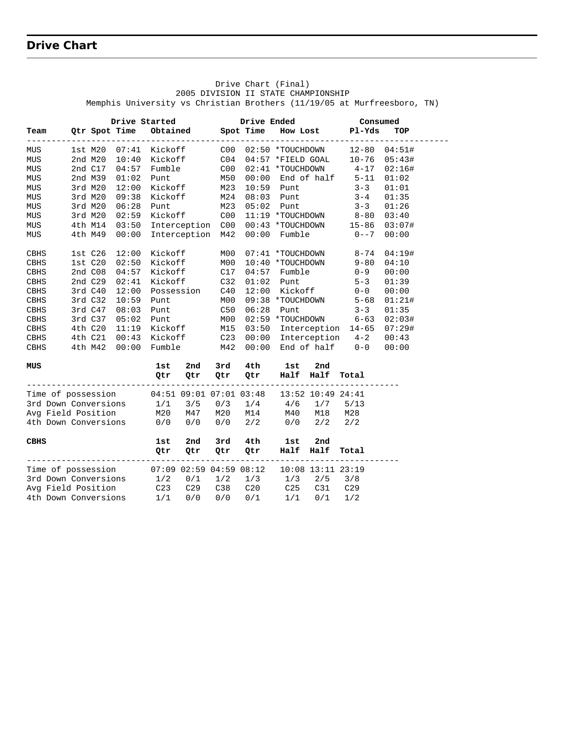# **Drive Chart**

|                                                              |         |                       |                   |                    |            |             | Drive Chart (Final)                 |         |                                                                         |        |  |
|--------------------------------------------------------------|---------|-----------------------|-------------------|--------------------|------------|-------------|-------------------------------------|---------|-------------------------------------------------------------------------|--------|--|
|                                                              |         |                       |                   |                    |            |             | 2005 DIVISION II STATE CHAMPIONSHIP |         | Memphis University vs Christian Brothers (11/19/05 at Murfreesboro, TN) |        |  |
|                                                              |         | Drive Started         |                   |                    |            | Drive Ended |                                     |         | Consumed                                                                |        |  |
| Team                                                         |         | Qtr Spot Time         |                   | Obtained Spot Time |            |             |                                     |         | How Lost Pl-Yds                                                         | TOP    |  |
| MUS                                                          |         | 1st M20 07:41 Kickoff |                   |                    |            |             | C00 02:50 *TOUCHDOWN                |         | ----------------<br>12-80 04:51#                                        |        |  |
| MUS                                                          |         |                       |                   |                    |            |             |                                     |         | 2nd M20 10:40 Kickoff C04 04:57 *FIELD GOAL 10-76 05:43#                |        |  |
| MUS                                                          |         | 2nd C17 04:57         | Fumble            |                    | C00        |             | 02:41 *TOUCHDOWN                    |         | $4 - 17$                                                                | 02:16# |  |
| MUS                                                          | 2nd M39 | 01:02                 | Punt              |                    | M50        | 00:00       |                                     |         | End of half 5-11                                                        | 01:02  |  |
| MUS                                                          | 3rd M20 | 12:00                 | Kickoff           |                    | M23        |             | $10:59$ Punt                        |         | $3 - 3$                                                                 | 01:01  |  |
| MUS                                                          | 3rd M20 | 09:38                 | Kickoff           |                    | M24        |             | 08:03 Punt                          |         | $3 - 4$                                                                 | 01:35  |  |
| MUS                                                          | 3rd M20 | 06:28                 | Punt              |                    | M23        |             | $05:02$ Punt                        |         | $3 - 3$                                                                 | 01:26  |  |
| MUS                                                          | 3rd M20 | 02:59                 |                   | Kickoff            | C00        |             |                                     |         | 11:19 *TOUCHDOWN 8-80 03:40                                             |        |  |
| MUS                                                          | 4th M14 | 03:50                 |                   | Interception C00   |            |             | 00:43 *TOUCHDOWN                    |         | $15 - 86$                                                               | 03:07# |  |
| MUS                                                          | 4th M49 | 00:00                 |                   | Interception       | M42        | 00:00       | Fumble                              |         | $0 - -7$                                                                | 00:00  |  |
| CBHS                                                         | 1stC26  | 12:00                 | Kickoff           |                    | MO0        |             | 07:41 *TOUCHDOWN                    |         | $8 - 74$                                                                | 04:19# |  |
| CBHS                                                         | 1st C20 | 02:50                 |                   | Kickoff            | M00        |             | 10:40 *TOUCHDOWN                    |         | $9 - 80$                                                                | 04:10  |  |
| CBHS                                                         | 2nd C08 | 04:57                 | Kickoff           |                    | C17        | 04:57       | Fumble                              |         | $0 - 9$                                                                 | 00:00  |  |
| CBHS                                                         | 2nd C29 | 02:41                 | Kickoff           |                    | C32        | 01:02       | Punt                                |         | $5 - 3$                                                                 | 01:39  |  |
| CBHS                                                         | 3rd C40 | 12:00                 |                   | Possession         | C40        | 12:00       | Kickoff                             |         | $0 - 0$                                                                 | 00:00  |  |
| CBHS                                                         | 3rdC32  | 10:59                 | Punt              |                    | M00        |             |                                     |         | 09:38 *TOUCHDOWN 5-68                                                   | 01:21# |  |
| CBHS                                                         | 3rd C47 | 08:03                 | Punt              |                    | C50        | 06:28       | Punt                                |         | $3 - 3$                                                                 | 01:35  |  |
| CBHS                                                         | 3rd C37 | 05:02                 | Punt              |                    | M00        |             |                                     |         | 02:59 *TOUCHDOWN 6-63                                                   | 02:03# |  |
| CBHS                                                         | 4th C20 | 11:19                 | Kickoff           |                    |            |             |                                     |         | 03:50 Interception 14-65 07:29#                                         |        |  |
| CBHS                                                         |         | 4th C21 00:43 Kickoff |                   |                    | M15<br>C23 |             |                                     |         | 00:00 Interception 4-2                                                  | 00:43  |  |
| CBHS                                                         | 4th M42 | 00:00                 | Fumble            |                    | M42        |             |                                     |         | $00:00$ End of half $0-0$                                               | 00:00  |  |
| MUS                                                          |         |                       | 1st               | 2nd                | 3rd        | 4th         | 1st                                 | 2nd     |                                                                         |        |  |
|                                                              |         |                       | Qtr               | Qtr                | Qtr        | Qtr         | Half Half                           |         | Total                                                                   |        |  |
| Time of possession 04:51 09:01 07:01 03:48 13:52 10:49 24:41 |         |                       |                   |                    |            |             |                                     |         |                                                                         |        |  |
| 3rd Down Conversions                                         |         |                       | 1/1               | 3/5                |            |             | $0/3$ $1/4$ $4/6$ $1/7$             |         | 5/13                                                                    |        |  |
| Avg Field Position                                           |         |                       | M20 M47           |                    |            |             | M20 M14 M40 M18                     |         | M28                                                                     |        |  |
| 4th Down Conversions                                         |         |                       | 0/0               | 0/0                | 0/0        | 2/2         | 0/0                                 | 2/2     | 2/2                                                                     |        |  |
| CBHS                                                         |         |                       | 1st               | 2nd                | 3rd        | 4th         | 1st                                 | 2nd     |                                                                         |        |  |
|                                                              |         |                       | Qtr               | Qtr                | Qtr        | Qtr         | Half                                | Half    | Total                                                                   |        |  |
| Time of possession 07:09 02:59 04:59 08:12                   |         |                       |                   |                    |            |             | 10:08 13:11 23:19                   |         |                                                                         |        |  |
| 3rd Down Conversions                                         |         |                       | $1/2$ $0/1$ $1/2$ |                    |            | 1/3         | 1/3                                 | 2/5     | 3/8                                                                     |        |  |
| Avg Field Position                                           |         |                       | C23               | C29                | C38        | C20         |                                     | C25 C31 | C <sub>29</sub>                                                         |        |  |
| 4th Down Conversions                                         |         |                       | 1/1               | 0/0                | 0/0        | 0/1         | 1/1                                 | 0/1     | 1/2                                                                     |        |  |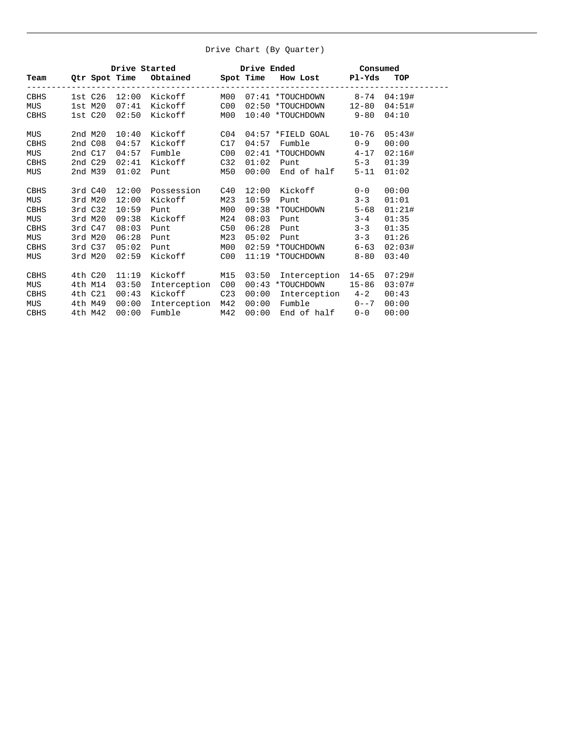#### Drive Chart (By Quarter)

|            | Drive Started brive Ended Consumed |         |       |                              |      |       |                                                       |          |        |  |  |
|------------|------------------------------------|---------|-------|------------------------------|------|-------|-------------------------------------------------------|----------|--------|--|--|
|            |                                    |         |       |                              |      |       | Team Qtr Spot Time Obtained Spot Time How Lost Pl-Yds |          | TOP    |  |  |
| CBHS       |                                    |         |       | 1st C26 12:00 Kickoff        |      |       |                                                       |          |        |  |  |
| <b>MUS</b> |                                    |         |       | 1st M20 07:41 Kickoff        | C00  |       | 02:50 *TOUCHDOWN 12-80 04:51#                         |          |        |  |  |
| CBHS       |                                    | 1st C20 |       | 02:50 Kickoff                | MOO  |       | 10:40 *TOUCHDOWN 9-80                                 |          | 04:10  |  |  |
| MUS        |                                    | 2nd M20 | 10:40 | Kickoff                      |      |       | $C04$ $04:57$ *FIELD GOAL $10-76$                     |          | 05:43# |  |  |
| CBHS       |                                    | 2ndC08  | 04:57 | Kickoff                      | C17  | 04:57 | Fumble 0-9                                            |          | 00:00  |  |  |
| MUS        |                                    | 2nd C17 | 04:57 | Fumble                       | COO  |       | $02:41$ *TOUCHDOWN $4-17$                             |          | 02:16# |  |  |
| CBHS       |                                    | 2nd C29 | 02:41 | Kickoff                      | C32  | 01:02 | Punt $5-3$                                            |          | 01:39  |  |  |
| MUS        |                                    | 2nd M39 | 01:02 | <b>Punt</b>                  | M50  |       | $00:00$ End of half                                   | $5 - 11$ | 01:02  |  |  |
| CBHS       |                                    |         |       | 3rd C40 12:00 Possession C40 |      |       | 12:00 Kickoff 0-0                                     |          | 00:00  |  |  |
| MUS        |                                    | 3rd M20 | 12:00 | Kickoff                      | M23  | 10:59 | Punt                                                  | $3 - 3$  | 01:01  |  |  |
| CBHS       |                                    | 3rd C32 | 10:59 | Punt                         | MOO  |       | 09:38 *TOUCHDOWN                                      | $5 - 68$ | 01:21# |  |  |
| MUS        |                                    | 3rd M20 | 09:38 | Kickoff                      | M24  | 08:03 | Punt                                                  | $3 - 4$  | 01:35  |  |  |
| CBHS       |                                    | 3rd C47 | 08:03 | Punt                         | C50  |       | $06:28$ Punt $3-3$                                    |          | 01:35  |  |  |
| MUS        |                                    | 3rd M20 | 06:28 | Punt                         | M23  | 05:02 | Punt 3-3                                              |          | 01:26  |  |  |
| CBHS       |                                    | 3rd C37 | 05:02 | <b>Punt</b>                  | MO 0 |       | 02:59 *TOUCHDOWN 6-63                                 |          | 02:03# |  |  |
| MUS        |                                    | 3rd M20 |       | 02:59 Kickoff C00            |      |       | $11:19$ *TOUCHDOWN 8-80                               |          | 03:40  |  |  |
| CBHS       |                                    | 4th C20 | 11:19 | Kickoff M15                  |      |       | 03:50 Interception 14-65                              |          | 07:29# |  |  |
| MUS        |                                    | 4th M14 | 03:50 | Interception C00             |      |       | 00:43 *TOUCHDOWN 15-86                                |          | 03:07# |  |  |
| CBHS       |                                    | 4th C21 | 00:43 | Kickoff C23                  |      |       | 00:00 Interception 4-2                                |          | 00:43  |  |  |
| MUS        |                                    | 4th M49 | 00:00 | Interception M42             |      |       | $00:00$ Fumble $0--7$                                 |          | 00:00  |  |  |
| CBHS       |                                    | 4th M42 | 00:00 | Fumble M42                   |      |       | $00:00$ End of half $0-0$                             |          | 00:00  |  |  |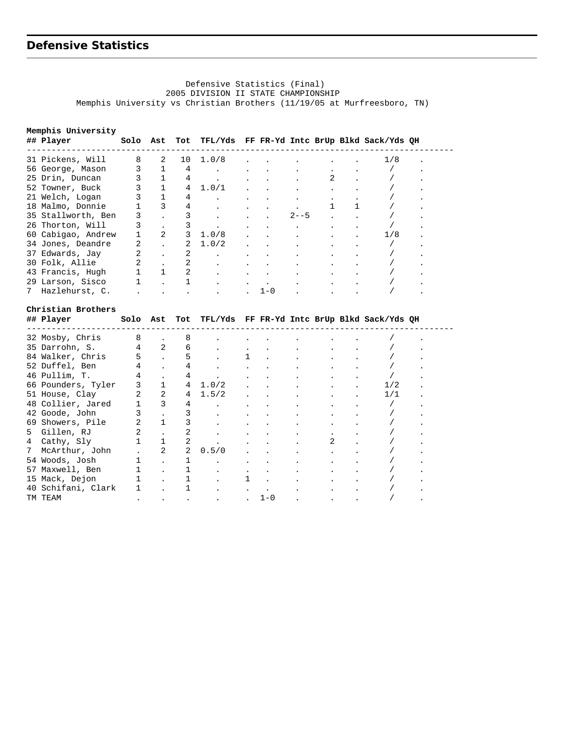### **Defensive Statistics**

#### Defensive Statistics (Final) 2005 DIVISION II STATE CHAMPIONSHIP Memphis University vs Christian Brothers (11/19/05 at Murfreesboro, TN)

**Memphis University ## Player Solo Ast Tot TFL/Yds FF FR-Yd Intc BrUp Blkd Sack/Yds QH** -------------------------------------------------------------------------------------- 31 Pickens, Will 8 2 10 1.0/8 . . . . . . 1/8 . 56 George, Mason 3 1 4 . . . . . . . . . / . 25 Drin, Duncan 3 1 4 . . . . 2 . / . 52 Towner, Buck 3 1 4 1.0/1 . . . . . . / . 21 Welch, Logan 3 1 4 . . . . . . . . / . 18 Malmo, Donnie 1 3 4 . . . . 1 1 / . 35 Stallworth, Ben 3 . 3 . . . 2--5 . . / . 26 Thorton, Will 3 . 3 . . . . . . . . . . / . 60 Cabigao, Andrew 1 2 3 1.0/8 . . . . . 1/8 . 34 Jones, Deandre 2 . 2  $1.0/2$  . . . . . . . / . 37 Edwards, Jay  $2$  . 2 . . . . . . . . . . . / . . 30 Folk, Allie 2 . 2 . . . . . . . . . / . 43 Francis, Hugh 1 1 2 . . . . . . . . . / . 29 Larson, Sisco 1 . 1 . . . . . . . . . . / . 7 Hazlehurst, C. . . . . . 1-0 . . . / . **Christian Brothers ## Player Solo Ast Tot TFL/Yds FF FR-Yd Intc BrUp Blkd Sack/Yds QH** --------------------------------------------------------------------------------------

|   | 32 Mosby, Chris    |                |                      |             |       |                                  |                      |  |     |  |
|---|--------------------|----------------|----------------------|-------------|-------|----------------------------------|----------------------|--|-----|--|
|   | 35 Darrohn, S.     |                |                      | 6           |       | $\bullet$ . The set of $\bullet$ |                      |  |     |  |
|   | 84 Walker, Chris   | 5              |                      |             |       | 1                                | $\ddot{\phantom{0}}$ |  |     |  |
|   | 52 Duffel, Ben     | 4              |                      | 4           |       |                                  |                      |  |     |  |
|   | 46 Pullim, T.      | 4              |                      | 4           |       |                                  |                      |  |     |  |
|   | 66 Pounders, Tyler | 3              |                      | $4^{\circ}$ | 1.0/2 |                                  |                      |  | 1/2 |  |
|   | 51 House, Clay     | $\overline{2}$ | 2                    | 4           | 1.5/2 |                                  |                      |  | 1/1 |  |
|   | 48 Collier, Jared  |                | 3                    | 4           |       |                                  |                      |  |     |  |
|   | 42 Goode, John     |                |                      |             |       |                                  |                      |  |     |  |
|   | 69 Showers, Pile   |                |                      |             |       |                                  |                      |  |     |  |
|   | 5 Gillen, RJ       |                |                      |             |       |                                  |                      |  |     |  |
| 4 | Cathy, Sly         |                |                      |             |       |                                  |                      |  |     |  |
| 7 | McArthur, John     |                | 2                    | 2           | 0.5/0 | $\ddot{\phantom{a}}$             |                      |  |     |  |
|   | 54 Woods, Josh     |                |                      |             |       |                                  |                      |  |     |  |
|   | 57 Maxwell, Ben    |                |                      |             |       |                                  |                      |  |     |  |
|   | 15 Mack, Dejon     |                |                      |             |       |                                  |                      |  |     |  |
|   | 40 Schifani, Clark |                |                      |             |       |                                  |                      |  |     |  |
|   | TM TEAM            |                | $\ddot{\phantom{0}}$ |             |       |                                  | $1 - 0$              |  |     |  |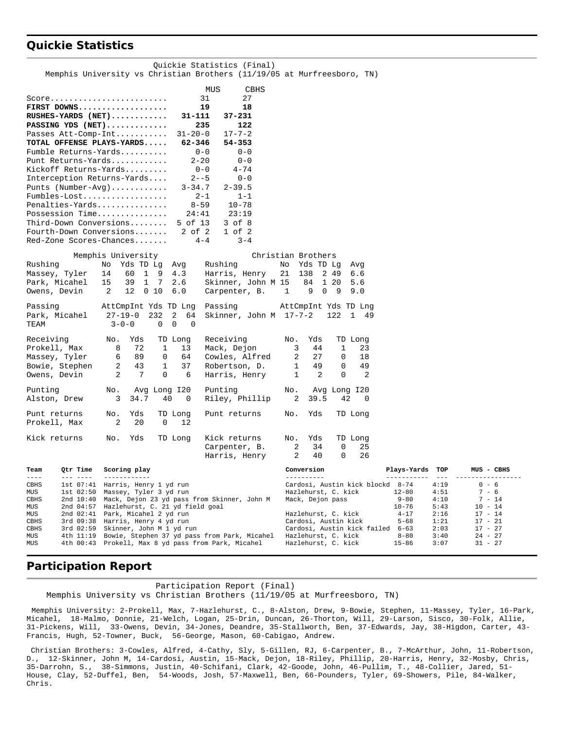### **Quickie Statistics**

|                                                                         | Memphis University vs Christian Brothers (11/19/05 at Murfreesboro, TN)       |                                                     | Quickie Statistics (Final) |                    |                                                         |                       |              |                        |
|-------------------------------------------------------------------------|-------------------------------------------------------------------------------|-----------------------------------------------------|----------------------------|--------------------|---------------------------------------------------------|-----------------------|--------------|------------------------|
|                                                                         |                                                                               | MUS                                                 | CBHS                       |                    |                                                         |                       |              |                        |
| $Score \ldots \ldots \ldots \ldots \ldots \ldots \ldots$<br>FIRST DOWNS |                                                                               | 31<br>19                                            | 27<br>18                   |                    |                                                         |                       |              |                        |
| RUSHES-YARDS (NET)                                                      |                                                                               | 31-111                                              | $37 - 231$                 |                    |                                                         |                       |              |                        |
| PASSING YDS (NET)                                                       |                                                                               | 235                                                 | 122                        |                    |                                                         |                       |              |                        |
| Passes Att-Comp-Int                                                     |                                                                               | $31 - 20 - 0$                                       | $17 - 7 - 2$               |                    |                                                         |                       |              |                        |
| TOTAL OFFENSE PLAYS-YARDS                                               |                                                                               | 62-346                                              | $54 - 353$                 |                    |                                                         |                       |              |                        |
| Fumble Returns-Yards                                                    |                                                                               | $0 - 0$                                             | $0 - 0$                    |                    |                                                         |                       |              |                        |
| Punt Returns-Yards                                                      |                                                                               | $2 - 20$                                            | $0 - 0$                    |                    |                                                         |                       |              |                        |
| Kickoff Returns-Yards                                                   |                                                                               | $0 - 0$                                             | $4 - 74$                   |                    |                                                         |                       |              |                        |
| Interception Returns-Yards                                              |                                                                               | $2 - -5$                                            | $0 - 0$                    |                    |                                                         |                       |              |                        |
| Punts $(Number-Avg)$                                                    |                                                                               | $3 - 34.7$                                          | $2 - 39.5$                 |                    |                                                         |                       |              |                        |
| Penalties-Yards                                                         |                                                                               | $2 - 1$<br>$8 - 59$                                 | $1 - 1$<br>$10 - 78$       |                    |                                                         |                       |              |                        |
| Possession Time                                                         |                                                                               | 24:41                                               | 23:19                      |                    |                                                         |                       |              |                        |
| Third-Down Conversions                                                  |                                                                               | 5 of 13                                             | $3$ of $8$                 |                    |                                                         |                       |              |                        |
| Fourth-Down Conversions                                                 |                                                                               | $2$ of $2$                                          | $1$ of $2$                 |                    |                                                         |                       |              |                        |
| Red-Zone Scores-Chances                                                 |                                                                               | $4 - 4$                                             | $3 - 4$                    |                    |                                                         |                       |              |                        |
|                                                                         | Memphis University                                                            |                                                     |                            | Christian Brothers |                                                         |                       |              |                        |
| Rushing                                                                 | Yds TD Lg<br>No                                                               | Rushing<br>Avg                                      |                            | No Yds TD Lg       | Avg                                                     |                       |              |                        |
| Massey, Tyler                                                           | $1 \quad 9$<br>14<br>60                                                       | 4.3                                                 | Harris, Henry              | 21<br>138          | 2 49<br>6.6                                             |                       |              |                        |
| Park, Micahel                                                           | 15<br>39<br>1 7                                                               | 2.6                                                 | Skinner, John M 15         | 84                 | 1 20<br>5.6                                             |                       |              |                        |
| Owens, Devin                                                            | 2<br>12<br>010                                                                | 6.0                                                 | Carpenter, B.              | 1<br>9             | 0 <sub>9</sub><br>9.0                                   |                       |              |                        |
| Passing<br>Park, Micahel<br>TEAM                                        | AttCmpInt Yds TD Lng<br>$27 - 19 - 0$<br>232<br>$3 - 0 - 0$<br>$\overline{0}$ | Passing<br>2<br>64<br>$\mathbf 0$<br>$\overline{0}$ | Skinner, John M 17-7-2     |                    | AttCmpInt Yds TD Lng<br>122<br>$\mathbf{1}$<br>- 49     |                       |              |                        |
| Receiving                                                               | Yds<br>No.                                                                    | TD Long                                             | Receiving                  | Yds<br>No.         | TD Long                                                 |                       |              |                        |
| Prokell, Max                                                            | 8<br>72<br>1                                                                  | 13                                                  | Mack, Dejon                | 3<br>44            | 1<br>23                                                 |                       |              |                        |
| Massey, Tyler                                                           | 89<br>6<br>0                                                                  | 64                                                  | Cowles, Alfred             | 2<br>27            | $\mathbf 0$<br>18                                       |                       |              |                        |
| Bowie, Stephen                                                          | 2<br>43<br>1                                                                  | 37                                                  | Robertson, D.              | 49<br>1            | 49<br>0                                                 |                       |              |                        |
| Owens, Devin                                                            | 2<br>7<br>$\Omega$                                                            | 6                                                   | Harris, Henry              | 2<br>1             | 2<br>$\mathbf 0$                                        |                       |              |                        |
| Punting<br>Alston, Drew                                                 | No.<br>Avg Long 120<br>40<br>3<br>34.7                                        | Punting<br>0                                        | Riley, Phillip             | No.<br>39.5<br>2   | Avg Long I20<br>42<br>0                                 |                       |              |                        |
|                                                                         |                                                                               |                                                     |                            |                    |                                                         |                       |              |                        |
| Punt returns<br>Prokell, Max                                            | No.<br>Yds<br>2<br>20<br>0                                                    | TD Long<br>12                                       | Punt returns               | Yds<br>No.         | TD Long                                                 |                       |              |                        |
| Kick returns                                                            | Yds<br>No.                                                                    | TD Long                                             | Kick returns               | Yds<br>No.         | TD Long                                                 |                       |              |                        |
|                                                                         |                                                                               |                                                     | Carpenter, B.              | 2<br>34            | 0<br>25                                                 |                       |              |                        |
|                                                                         |                                                                               |                                                     | Harris, Henry              | 2<br>40            | $\Omega$<br>26                                          |                       |              |                        |
| ream<br>$---$<br>$- - - - - - - -$                                      | Qtr Time Scoring play<br>------------                                         |                                                     |                            | Conversion         |                                                         | Plays-Yards           | TOP          | MUS - CBHS             |
| CBHS                                                                    | 1st 07:41 Harris, Henry 1 yd run                                              |                                                     |                            |                    | Cardosi, Austin kick blockd 8-74                        |                       | 4:19         | $0 - 6$                |
| MUS<br>$1st$ $02:50$<br>CBHS<br>2nd $10:40$                             | Massey, Tyler 3 yd run<br>Mack, Dejon 23 yd pass from Skinner, John M         |                                                     |                            | Mack, Dejon pass   | Hazlehurst, C. kick                                     | $12 - 80$<br>$9 - 80$ | 4:51<br>4:10 | $7 - 6$<br>$7 - 14$    |
| 2nd 04:57<br>MUS                                                        | Hazlehurst, C. 21 yd field goal                                               |                                                     |                            |                    |                                                         | $10 - 76$             | 5:43         | $10 - 14$              |
| 2nd 02:41<br>MUS                                                        | Park, Micahel 2 yd run                                                        |                                                     |                            |                    | Hazlehurst, C. kick                                     | $4 - 17$              | 2:16         | $17 - 14$              |
| 3rd 09:38<br>CBHS<br>3rd 02:59                                          | Harris, Henry 4 yd run                                                        |                                                     |                            |                    | Cardosi, Austin kick                                    | $5 - 68$              | 1:21<br>2:03 | $17 - 21$              |
| CBHS<br>4th 11:19<br>MUS                                                | Skinner, John M 1 yd run<br>Bowie, Stephen 37 yd pass from Park, Micahel      |                                                     |                            |                    | Cardosi, Austin kick failed 6-63<br>Hazlehurst, C. kick | $8 - 80$              | 3:40         | $17 - 27$<br>$24 - 27$ |
| MUS                                                                     | 4th 00:43 Prokell, Max 8 yd pass from Park, Micahel                           |                                                     |                            |                    | Hazlehurst, C. kick                                     | $15 - 86$             | 3:07         | $31 - 27$              |
|                                                                         |                                                                               |                                                     |                            |                    |                                                         |                       |              |                        |

#### **Participation Report**

 Participation Report (Final) Memphis University vs Christian Brothers (11/19/05 at Murfreesboro, TN)

Memphis University: 2-Prokell, Max, 7-Hazlehurst, C., 8-Alston, Drew, 9-Bowie, Stephen, 11-Massey, Tyler, 16-Park, Micahel, 18-Malmo, Donnie, 21-Welch, Logan, 25-Drin, Duncan, 26-Thorton, Will, 29-Larson, Sisco, 30-Folk, Allie, 31-Pickens, Will, 33-Owens, Devin, 34-Jones, Deandre, 35-Stallworth, Ben, 37-Edwards, Jay, 38-Higdon, Carter, 43- Francis, Hugh, 52-Towner, Buck, 56-George, Mason, 60-Cabigao, Andrew.

 Christian Brothers: 3-Cowles, Alfred, 4-Cathy, Sly, 5-Gillen, RJ, 6-Carpenter, B., 7-McArthur, John, 11-Robertson, D., 12-Skinner, John M, 14-Cardosi, Austin, 15-Mack, Dejon, 18-Riley, Phillip, 20-Harris, Henry, 32-Mosby, Chris, 35-Darrohn, S., 38-Simmons, Justin, 40-Schifani, Clark, 42-Goode, John, 46-Pullim, T., 48-Collier, Jared, 51- House, Clay, 52-Duffel, Ben, 54-Woods, Josh, 57-Maxwell, Ben, 66-Pounders, Tyler, 69-Showers, Pile, 84-Walker, Chris.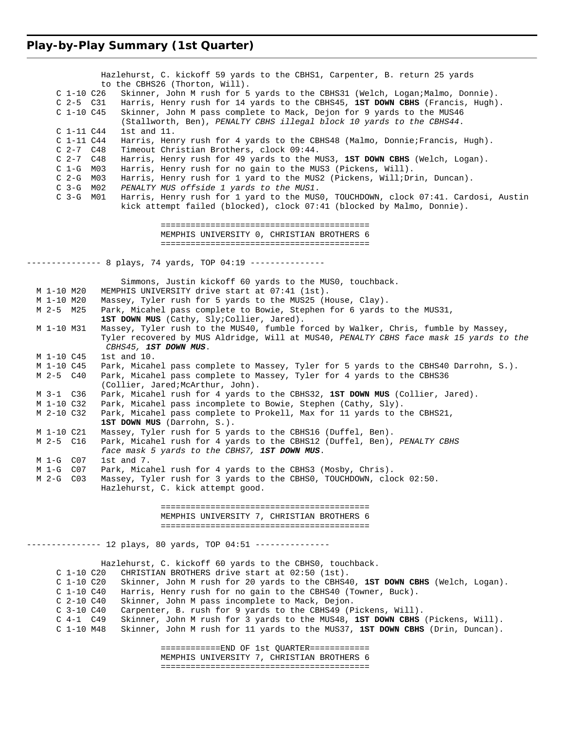#### **Play-by-Play Summary (1st Quarter)**

 Hazlehurst, C. kickoff 59 yards to the CBHS1, Carpenter, B. return 25 yards to the CBHS26 (Thorton, Will). C 1-10 C26 Skinner, John M rush for 5 yards to the CBHS31 (Welch, Logan;Malmo, Donnie). C 2-5 C31 Harris, Henry rush for 14 yards to the CBHS45, **1ST DOWN CBHS** (Francis, Hugh). C 1-10 C45 Skinner, John M pass complete to Mack, Dejon for 9 yards to the MUS46 (Stallworth, Ben), *PENALTY CBHS illegal block 10 yards to the CBHS44*. C 1-11 C44 1st and 11. C 1-11 C44 Harris, Henry rush for 4 yards to the CBHS48 (Malmo, Donnie;Francis, Hugh). C 2-7 C48 Timeout Christian Brothers, clock 09:44. C 2-7 C48 Harris, Henry rush for 49 yards to the MUS3, **1ST DOWN CBHS** (Welch, Logan). C 1-G M03 Harris, Henry rush for no gain to the MUS3 (Pickens, Will).<br>C 2-G M03 Harris, Henry rush for 1 yard to the MUS2 (Pickens, Will;Dr C 2-G M03 Harris, Henry rush for 1 yard to the MUS2 (Pickens, Will;Drin, Duncan).<br>C 3-G M02 PENALTY MUS offside 1 yards to the MUS1. C 3-G M02 *PENALTY MUS offside 1 yards to the MUS1*. Harris, Henry rush for 1 yard to the MUS0, TOUCHDOWN, clock 07:41. Cardosi, Austin kick attempt failed (blocked), clock 07:41 (blocked by Malmo, Donnie). ========================================== MEMPHIS UNIVERSITY 0, CHRISTIAN BROTHERS 6 ========================================== --------------- 8 plays, 74 yards, TOP 04:19 --------------- Simmons, Justin kickoff 60 yards to the MUS0, touchback. M 1-10 M20 MEMPHIS UNIVERSITY drive start at 07:41 (1st). M 1-10 M20 Massey, Tyler rush for 5 yards to the MUS25 (House, Clay).<br>M 2-5 M25 Park, Micahel pass complete to Bowie, Stephen for 6 yards Park, Micahel pass complete to Bowie, Stephen for 6 yards to the MUS31, 1ST DOWN MUS (Cathy, Sly;Collier, Jared). M 1-10 M31 Massey, Tyler rush to the MUS40, fumble forced by Walker, Chris, fumble by Massey, Tyler recovered by MUS Aldridge, Will at MUS40, *PENALTY CBHS face mask 15 yards to the CBHS45, 1ST DOWN MUS*. M 1-10 C45 1st and 10. M 1-10 C45 Park, Micahel pass complete to Massey, Tyler for 5 yards to the CBHS40 Darrohn, S.). M 2-5 C40 Park, Micahel pass complete to Massey, Tyler for 4 yards to the CBHS36 (Collier, Jared;McArthur, John). M 3-1 C36 Park, Micahel rush for 4 yards to the CBHS32, **1ST DOWN MUS** (Collier, Jared). M 1-10 C32 Park, Micahel pass incomplete to Bowie, Stephen (Cathy, Sly). M 2-10 C32 Park, Micahel pass complete to Prokell, Max for 11 yards to the CBHS21, **1ST DOWN MUS** (Darrohn, S.). M 1-10 C21 Massey, Tyler rush for 5 yards to the CBHS16 (Duffel, Ben). M 2-5 C16 Park, Micahel rush for 4 yards to the CBHS12 (Duffel, Ben), *PENALTY CBHS face mask 5 yards to the CBHS7, 1ST DOWN MUS*. M 1-G C07 1st and 7. M 1-G C07 Park, Micahel rush for 4 yards to the CBHS3 (Mosby, Chris). M 2-G C03 Massey, Tyler rush for 3 yards to the CBHS0, TOUCHDOWN, clock 02:50. Hazlehurst, C. kick attempt good. ========================================== MEMPHIS UNIVERSITY 7, CHRISTIAN BROTHERS 6 ========================================== -------------- 12 plays, 80 yards, TOP 04:51 --------------- Hazlehurst, C. kickoff 60 yards to the CBHS0, touchback. C 1-10 C20 CHRISTIAN BROTHERS drive start at 02:50 (1st). C 1-10 C20 Skinner, John M rush for 20 yards to the CBHS40, **1ST DOWN CBHS** (Welch, Logan). Harris, Henry rush for no gain to the CBHS40 (Towner, Buck). C 2-10 C40 Skinner, John M pass incomplete to Mack, Dejon. C 3-10 C40 Carpenter, B. rush for 9 yards to the CBHS49 (Pickens, Will). C 4-1 C49 Skinner, John M rush for 3 yards to the MUS48, **1ST DOWN CBHS** (Pickens, Will). C 1-10 M48 Skinner, John M rush for 11 yards to the MUS37, **1ST DOWN CBHS** (Drin, Duncan). ============END OF 1st QUARTER============ MEMPHIS UNIVERSITY 7, CHRISTIAN BROTHERS 6 ==========================================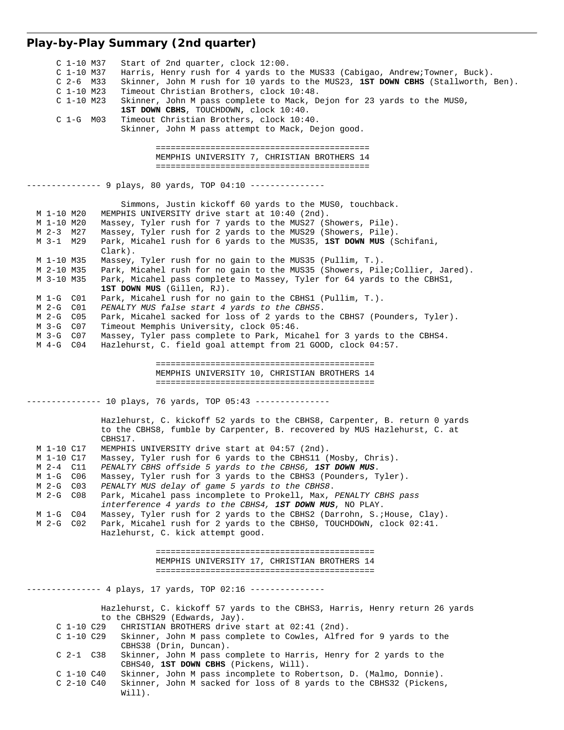# **Play-by-Play Summary (2nd quarter)**

| Start of 2nd quarter, clock 12:00.<br>C 1-10 M37<br>Harris, Henry rush for 4 yards to the MUS33 (Cabigao, Andrew;Towner, Buck).<br>$C$ 1-10 M37<br>Skinner, John M rush for 10 yards to the MUS23, 1ST DOWN CBHS (Stallworth, Ben).<br>$C2-6$ M33<br>Timeout Christian Brothers, clock 10:48.<br>$C1-10 M23$<br>$C$ 1-10 M23<br>Skinner, John M pass complete to Mack, Dejon for 23 yards to the MUSO,<br>1ST DOWN CBHS, TOUCHDOWN, clock 10:40.<br>$C$ 1-G M03<br>Timeout Christian Brothers, clock 10:40.<br>Skinner, John M pass attempt to Mack, Dejon good. |
|------------------------------------------------------------------------------------------------------------------------------------------------------------------------------------------------------------------------------------------------------------------------------------------------------------------------------------------------------------------------------------------------------------------------------------------------------------------------------------------------------------------------------------------------------------------|
| MEMPHIS UNIVERSITY 7, CHRISTIAN BROTHERS 14                                                                                                                                                                                                                                                                                                                                                                                                                                                                                                                      |
| ------------- 9 plays, 80 yards, TOP 04:10 ---------------                                                                                                                                                                                                                                                                                                                                                                                                                                                                                                       |
| Simmons, Justin kickoff 60 yards to the MUSO, touchback.<br>MEMPHIS UNIVERSITY drive start at 10:40 (2nd).<br>M 1-10 M20<br>Massey, Tyler rush for 7 yards to the MUS27 (Showers, Pile).<br>M 1-10 M20<br>M 2-3 M27<br>Massey, Tyler rush for 2 yards to the MUS29 (Showers, Pile).<br>M 3-1 M29<br>Park, Micahel rush for 6 yards to the MUS35, 1ST DOWN MUS (Schifani,<br>Clark).                                                                                                                                                                              |
| Massey, Tyler rush for no gain to the MUS35 (Pullim, T.).<br>M 1-10 M35<br>M 2-10 M35<br>Park, Micahel rush for no gain to the MUS35 (Showers, Pile;Collier, Jared).<br>Park, Micahel pass complete to Massey, Tyler for 64 yards to the CBHS1,<br>M 3-10 M35<br>1ST DOWN MUS (Gillen, RJ).                                                                                                                                                                                                                                                                      |
| M 1-G C01<br>Park, Micahel rush for no gain to the CBHS1 (Pullim, T.).<br>PENALTY MUS false start 4 yards to the CBHS5.<br>M 2-G C01<br>Park, Micahel sacked for loss of 2 yards to the CBHS7 (Pounders, Tyler).<br>M 2-G C05<br>Timeout Memphis University, clock 05:46.<br>M 3-G C07<br>M 3-G C07<br>Massey, Tyler pass complete to Park, Micahel for 3 yards to the CBHS4.<br>M 4-G C04<br>Hazlehurst, C. field goal attempt from 21 GOOD, clock 04:57.                                                                                                       |
| MEMPHIS UNIVERSITY 10, CHRISTIAN BROTHERS 14                                                                                                                                                                                                                                                                                                                                                                                                                                                                                                                     |
| -------------    10 plays, 76 yards, TOP 05:43 ---------------                                                                                                                                                                                                                                                                                                                                                                                                                                                                                                   |
| Hazlehurst, C. kickoff 52 yards to the CBHS8, Carpenter, B. return 0 yards<br>to the CBHS8, fumble by Carpenter, B. recovered by MUS Hazlehurst, C. at<br>CBHS17.                                                                                                                                                                                                                                                                                                                                                                                                |
| MEMPHIS UNIVERSITY drive start at 04:57 (2nd).<br>M 1-10 C17<br>Massey, Tyler rush for 6 yards to the CBHS11 (Mosby, Chris).<br>M 1-10 C17<br>PENALTY CBHS offside 5 yards to the CBHS6, 1ST DOWN MUS.<br>M 2-4 C11                                                                                                                                                                                                                                                                                                                                              |
| M 1-G C06<br>Massey, Tyler rush for 3 yards to the CBHS3 (Pounders, Tyler).<br>PENALTY MUS delay of game 5 yards to the CBHS8.<br>M 2-G C03<br>M 2-G C08<br>Park, Micahel pass incomplete to Prokell, Max, PENALTY CBHS pass                                                                                                                                                                                                                                                                                                                                     |
| interference 4 yards to the CBHS4, 1ST DOWN MUS, NO PLAY.<br>M 1-G C04<br>Massey, Tyler rush for 2 yards to the CBHS2 (Darrohn, S. ; House, Clay).<br>Park, Micahel rush for 2 yards to the CBHS0, TOUCHDOWN, clock 02:41.<br>M 2-G C02<br>Hazlehurst, C. kick attempt good.                                                                                                                                                                                                                                                                                     |
| MEMPHIS UNIVERSITY 17, CHRISTIAN BROTHERS 14                                                                                                                                                                                                                                                                                                                                                                                                                                                                                                                     |
|                                                                                                                                                                                                                                                                                                                                                                                                                                                                                                                                                                  |
| Hazlehurst, C. kickoff 57 yards to the CBHS3, Harris, Henry return 26 yards<br>to the CBHS29 (Edwards, Jay).<br>$C_1-10C_29$<br>CHRISTIAN BROTHERS drive start at 02:41 (2nd).<br>Skinner, John M pass complete to Cowles, Alfred for 9 yards to the<br>C 1-10 C29<br>CBHS38 (Drin, Duncan).<br>$C_2-1 C_38$<br>Skinner, John M pass complete to Harris, Henry for 2 yards to the                                                                                                                                                                                |
| CBHS40, 1ST DOWN CBHS (Pickens, Will).<br>Skinner, John M pass incomplete to Robertson, D. (Malmo, Donnie).<br>$C_1-10C40$<br>C 2-10 C40<br>Skinner, John M sacked for loss of 8 yards to the CBHS32 (Pickens,<br>Will).                                                                                                                                                                                                                                                                                                                                         |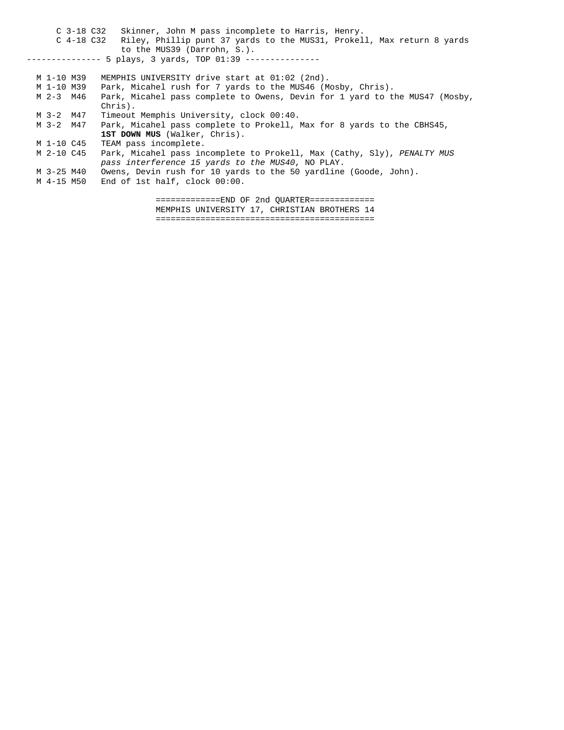C 3-18 C32 Skinner, John M pass incomplete to Harris, Henry. C 4-18 C32 Riley, Phillip punt 37 yards to the MUS31, Prokell, Max return 8 yards to the MUS39 (Darrohn, S.). -------------- 5 plays, 3 yards, TOP 01:39 --------------- M 1-10 M39 MEMPHIS UNIVERSITY drive start at 01:02 (2nd). M 1-10 M39 Park, Micahel rush for 7 yards to the MUS46 (Mosby, Chris). M 2-3 M46 Park, Micahel pass complete to Owens, Devin for 1 yard to the MUS47 (Mosby, Chris). M 3-2 M47 Timeout Memphis University, clock 00:40. M 3-2 M47 Park, Micahel pass complete to Prokell, Max for 8 yards to the CBHS45, **1ST DOWN MUS** (Walker, Chris). M 1-10 C45 TEAM pass incomplete. M 2-10 C45 Park, Micahel pass incomplete to Prokell, Max (Cathy, Sly), *PENALTY MUS pass interference 15 yards to the MUS40*, NO PLAY. M 3-25 M40 Owens, Devin rush for 10 yards to the 50 yardline (Goode, John). M 4-15 M50 End of 1st half, clock 00:00.

> =============END OF 2nd QUARTER============= MEMPHIS UNIVERSITY 17, CHRISTIAN BROTHERS 14 ============================================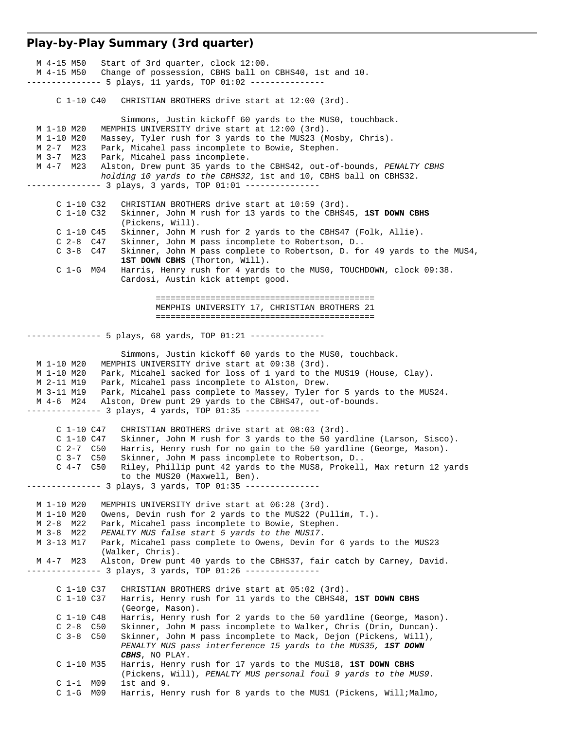#### **Play-by-Play Summary (3rd quarter)**

 M 4-15 M50 Start of 3rd quarter, clock 12:00. M 4-15 M50 Change of possession, CBHS ball on CBHS40, 1st and 10. --------------- 5 plays, 11 yards, TOP 01:02 --------------- C 1-10 C40 CHRISTIAN BROTHERS drive start at 12:00 (3rd). Simmons, Justin kickoff 60 yards to the MUS0, touchback.<br>M 1-10 M20 MEMPHIS UNIVERSITY drive start at 12:00 (3rd). MEMPHIS UNIVERSITY drive start at 12:00 (3rd). M 1-10 M20 Massey, Tyler rush for 3 yards to the MUS23 (Mosby, Chris). M 2-7 M23 Park, Micahel pass incomplete to Bowie, Stephen. M 3-7 M23 Park, Micahel pass incomplete. M 4-7 M23 Alston, Drew punt 35 yards to the CBHS42, out-of-bounds, *PENALTY CBHS holding 10 yards to the CBHS32*, 1st and 10, CBHS ball on CBHS32. -------------- 3 plays, 3 yards, TOP 01:01 --------------- C 1-10 C32 CHRISTIAN BROTHERS drive start at 10:59 (3rd). C 1-10 C32 Skinner, John M rush for 13 yards to the CBHS45, **1ST DOWN CBHS** (Pickens, Will). C 1-10 C45 Skinner, John M rush for 2 yards to the CBHS47 (Folk, Allie).<br>C 2-8 C47 Skinner, John M pass incomplete to Robertson, D.. Skinner, John M pass incomplete to Robertson, D.. C 3-8 C47 Skinner, John M pass complete to Robertson, D. for 49 yards to the MUS4, **1ST DOWN CBHS** (Thorton, Will). C 1-G M04 Harris, Henry rush for 4 yards to the MUS0, TOUCHDOWN, clock 09:38. Cardosi, Austin kick attempt good. ============================================ MEMPHIS UNIVERSITY 17, CHRISTIAN BROTHERS 21 ============================================ -------------- 5 plays, 68 yards, TOP 01:21 --------------- Simmons, Justin kickoff 60 yards to the MUS0, touchback. M 1-10 M20 MEMPHIS UNIVERSITY drive start at 09:38 (3rd). M 1-10 M20 Park, Micahel sacked for loss of 1 yard to the MUS19 (House, Clay). M 2-11 M19 Park, Micahel pass incomplete to Alston, Drew. M 3-11 M19 Park, Micahel pass complete to Massey, Tyler for 5 yards to the MUS24. M 4-6 M24 Alston, Drew punt 29 yards to the CBHS47, out-of-bounds. ------------- 3 plays, 4 yards, TOP 01:35 --------------- C 1-10 C47 CHRISTIAN BROTHERS drive start at 08:03 (3rd). C 1-10 C47 Skinner, John M rush for 3 yards to the 50 yardline (Larson, Sisco). C 2-7 C50 Harris, Henry rush for no gain to the 50 yardline (George, Mason). C 3-7 C50 Skinner, John M pass incomplete to Robertson, D.. C 4-7 C50 Riley, Phillip punt 42 yards to the MUS8, Prokell, Max return 12 yards to the MUS20 (Maxwell, Ben). -------------- 3 plays, 3 yards, TOP 01:35 --------------- M 1-10 M20 MEMPHIS UNIVERSITY drive start at 06:28 (3rd). M 1-10 M20 Owens, Devin rush for 2 yards to the MUS22 (Pullim, T.). M 2-8 M22 Park, Micahel pass incomplete to Bowie, Stephen. M 3-8 M22 *PENALTY MUS false start 5 yards to the MUS17*. M 3-13 M17 Park, Micahel pass complete to Owens, Devin for 6 yards to the MUS23 (Walker, Chris). M 4-7 M23 Alston, Drew punt 40 yards to the CBHS37, fair catch by Carney, David. --------------- 3 plays, 3 yards, TOP 01:26 --------------- C 1-10 C37 CHRISTIAN BROTHERS drive start at 05:02 (3rd). C 1-10 C37 Harris, Henry rush for 11 yards to the CBHS48, **1ST DOWN CBHS** (George, Mason). C 1-10 C48 Harris, Henry rush for 2 yards to the 50 yardline (George, Mason). C 2-8 C50 Skinner, John M pass incomplete to Walker, Chris (Drin, Duncan). C 3-8 C50 Skinner, John M pass incomplete to Mack, Dejon (Pickens, Will), *PENALTY MUS pass interference 15 yards to the MUS35, 1ST DOWN CBHS*, NO PLAY. C 1-10 M35 Harris, Henry rush for 17 yards to the MUS18, **1ST DOWN CBHS** (Pickens, Will), *PENALTY MUS personal foul 9 yards to the MUS9*. C 1-1 M09 1st and 9. C 1-G M09 Harris, Henry rush for 8 yards to the MUS1 (Pickens, Will;Malmo,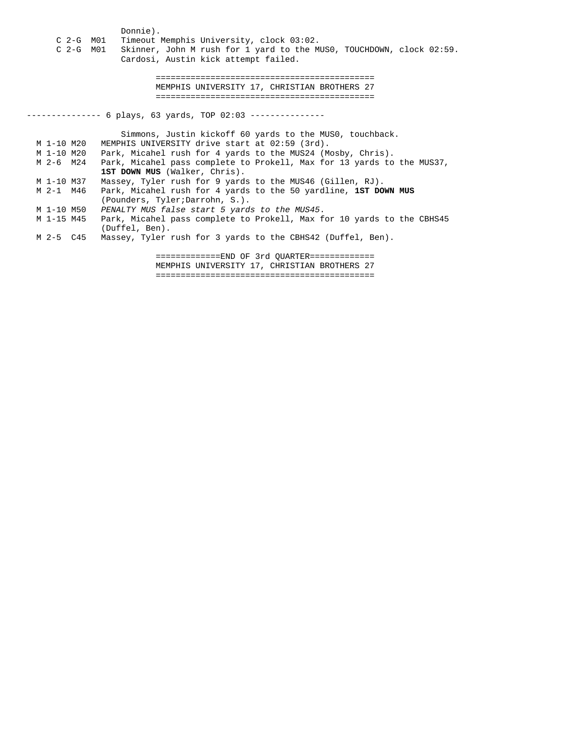- Donnie).<br>C 2-G M01 Timeout Timeout Memphis University, clock 03:02.
- C 2-G M01 Skinner, John M rush for 1 yard to the MUS0, TOUCHDOWN, clock 02:59. Cardosi, Austin kick attempt failed.

 ============================================ MEMPHIS UNIVERSITY 17, CHRISTIAN BROTHERS 27 ============================================

-------------- 6 plays, 63 yards, TOP 02:03 ---------------

 Simmons, Justin kickoff 60 yards to the MUS0, touchback. M 1-10 M20 MEMPHIS UNIVERSITY drive start at 02:59 (3rd). M 1-10 M20 Park, Micahel rush for 4 yards to the MUS24 (Mosby, Chris). M 2-6 M24 Park, Micahel pass complete to Prokell, Max for 13 yards to the MUS37, **1ST DOWN MUS** (Walker, Chris). M 1-10 M37 Massey, Tyler rush for 9 yards to the MUS46 (Gillen, RJ). M 2-1 M46 Park, Micahel rush for 4 yards to the 50 yardline, **1ST DOWN MUS** (Pounders, Tyler;Darrohn, S.). M 1-10 M50 *PENALTY MUS false start 5 yards to the MUS45*. M 1-15 M45 Park, Micahel pass complete to Prokell, Max for 10 yards to the CBHS45 (Duffel, Ben). M 2-5 C45 Massey, Tyler rush for 3 yards to the CBHS42 (Duffel, Ben). =============END OF 3rd QUARTER============= MEMPHIS UNIVERSITY 17, CHRISTIAN BROTHERS 27

============================================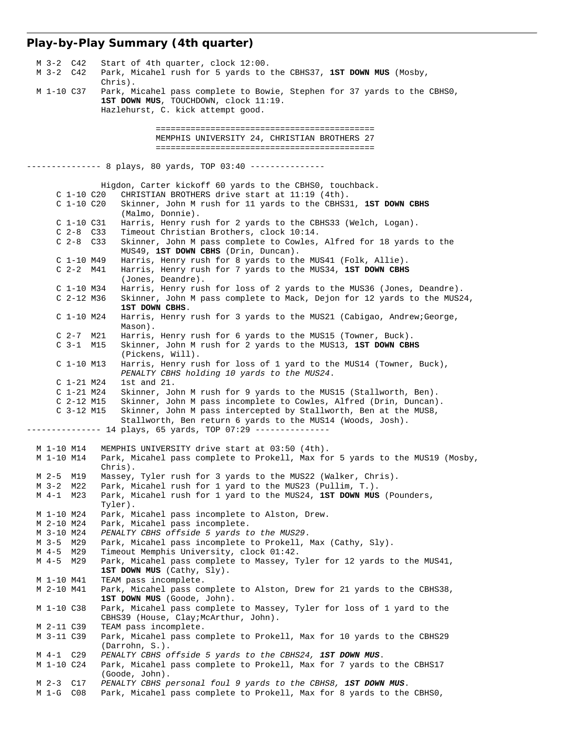#### **Play-by-Play Summary (4th quarter)**

 M 3-2 C42 Start of 4th quarter, clock 12:00. M 3-2 C42 Park, Micahel rush for 5 yards to the CBHS37, **1ST DOWN MUS** (Mosby, Chris). M 1-10 C37 Park, Micahel pass complete to Bowie, Stephen for 37 yards to the CBHS0, **1ST DOWN MUS**, TOUCHDOWN, clock 11:19. Hazlehurst, C. kick attempt good. ============================================ MEMPHIS UNIVERSITY 24, CHRISTIAN BROTHERS 27 ============================================ -------------- 8 plays, 80 yards, TOP 03:40 --------------- Higdon, Carter kickoff 60 yards to the CBHS0, touchback. C 1-10 C20 CHRISTIAN BROTHERS drive start at 11:19 (4th). C 1-10 C20 Skinner, John M rush for 11 yards to the CBHS31, **1ST DOWN CBHS** (Malmo, Donnie).<br>C 1-10 C31 Harris, Henry ru C 1-10 C31 Harris, Henry rush for 2 yards to the CBHS33 (Welch, Logan). C 2-8 C33 Timeout Christian Brothers, clock 10:14.<br>C 2-8 C33 Skinner, John M pass complete to Cowles, Skinner, John M pass complete to Cowles, Alfred for 18 yards to the MUS49, **1ST DOWN CBHS** (Drin, Duncan). C 1-10 M49 Harris, Henry rush for 8 yards to the MUS41 (Folk, Allie). C 2-2 M41 Harris, Henry rush for 7 yards to the MUS34, **1ST DOWN CBHS** (Jones, Deandre). C 1-10 M34 Harris, Henry rush for loss of 2 yards to the MUS36 (Jones, Deandre). C 2-12 M36 Skinner, John M pass complete to Mack, Dejon for 12 yards to the MUS24, **1ST DOWN CBHS**. C 1-10 M24 Harris, Henry rush for 3 yards to the MUS21 (Cabigao, Andrew;George, Mason). C 2-7 M21 Harris, Henry rush for 6 yards to the MUS15 (Towner, Buck). C 3-1 M15 Skinner, John M rush for 2 yards to the MUS13, **1ST DOWN CBHS** (Pickens, Will). C 1-10 M13 Harris, Henry rush for loss of 1 yard to the MUS14 (Towner, Buck), *PENALTY CBHS holding 10 yards to the MUS24*. C 1-21 M24 1st and 21. C 1-21 M24 Skinner, John M rush for 9 yards to the MUS15 (Stallworth, Ben). C 2-12 M15 Skinner, John M pass incomplete to Cowles, Alfred (Drin, Duncan). C 3-12 M15 Skinner, John M pass intercepted by Stallworth, Ben at the MUS8, Stallworth, Ben return 6 yards to the MUS14 (Woods, Josh). --------------- 14 plays, 65 yards, TOP 07:29 --------------- M 1-10 M14 MEMPHIS UNIVERSITY drive start at 03:50 (4th). M 1-10 M14 Park, Micahel pass complete to Prokell, Max for 5 yards to the MUS19 (Mosby, Chris).<br>M 2-5 M19 Massey, M 2-5 M19 Massey, Tyler rush for 3 yards to the MUS22 (Walker, Chris).<br>M 3-2 M22 Park, Micahel rush for 1 yard to the MUS23 (Pullim, T.). M 3-2 M22 Park, Micahel rush for 1 yard to the MUS23 (Pullim, T.).<br>M 4-1 M23 Park, Micahel rush for 1 yard to the MUS24, 1ST DOWN MUS Park, Micahel rush for 1 yard to the MUS24, 1ST DOWN MUS (Pounders, Tyler). M 1-10 M24 Park, Micahel pass incomplete to Alston, Drew. M 2-10 M24 Park, Micahel pass incomplete. M 3-10 M24 *PENALTY CBHS offside 5 yards to the MUS29*. M 3-5 M29 Park, Micahel pass incomplete to Prokell, Max (Cathy, Sly). M 4-5 M29 Timeout Memphis University, clock 01:42. M 4-5 M29 Park, Micahel pass complete to Massey, Tyler for 12 yards to the MUS41, **1ST DOWN MUS** (Cathy, Sly). M 1-10 M41 TEAM pass incomplete. M 2-10 M41 Park, Micahel pass complete to Alston, Drew for 21 yards to the CBHS38, **1ST DOWN MUS** (Goode, John). M 1-10 C38 Park, Micahel pass complete to Massey, Tyler for loss of 1 yard to the CBHS39 (House, Clay;McArthur, John). M 2-11 C39 TEAM pass incomplete. M 3-11 C39 Park, Micahel pass complete to Prokell, Max for 10 yards to the CBHS29 (Darrohn, S.))<br>M 4-1 C29 PENALTY CBHS c PENALTY CBHS offside 5 yards to the CBHS24, **1ST DOWN MUS**. M 1-10 C24 Park, Micahel pass complete to Prokell, Max for 7 yards to the CBHS17 (Goode, John).<br>M 2-3 C17 PENALTY CBHS p M 2-3 C17 *PENALTY CBHS personal foul 9 yards to the CBHS8, 1ST DOWN MUS*. M 1-G C08 Park, Micahel pass complete to Prokell, Max for 8 yards to the CBHS0,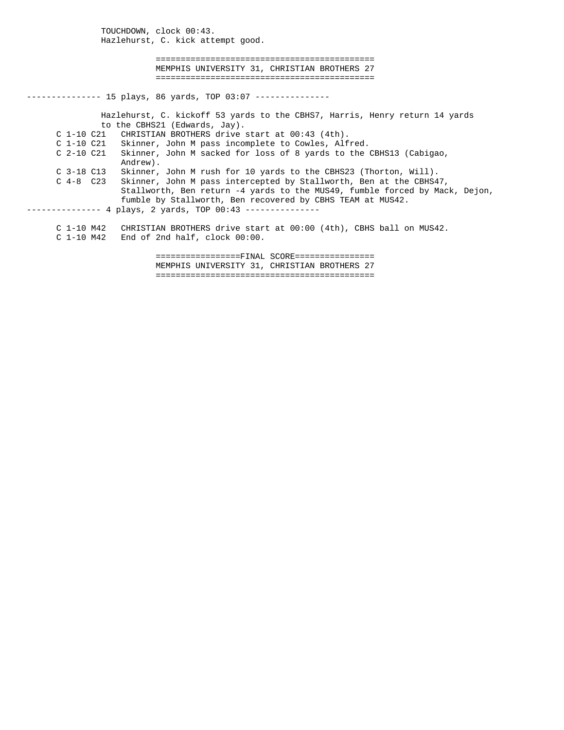TOUCHDOWN, clock 00:43. Hazlehurst, C. kick attempt good. ============================================ MEMPHIS UNIVERSITY 31, CHRISTIAN BROTHERS 27 ============================================ -------------- 15 plays, 86 yards, TOP 03:07 --------------- Hazlehurst, C. kickoff 53 yards to the CBHS7, Harris, Henry return 14 yards to the CBHS21 (Edwards, Jay). C 1-10 C21 CHRISTIAN BROTHERS drive start at 00:43 (4th). C 1-10 C21 Skinner, John M pass incomplete to Cowles, Alfred. C 2-10 C21 Skinner, John M sacked for loss of 8 yards to the CBHS13 (Cabigao, Andrew). C 3-18 C13 Skinner, John M rush for 10 yards to the CBHS23 (Thorton, Will). C 4-8 C23 Skinner, John M pass intercepted by Stallworth, Ben at the CBHS47, Stallworth, Ben return -4 yards to the MUS49, fumble forced by Mack, Dejon, fumble by Stallworth, Ben recovered by CBHS TEAM at MUS42. -------------- 4 plays, 2 yards, TOP 00:43 --------------- C 1-10 M42 CHRISTIAN BROTHERS drive start at 00:00 (4th), CBHS ball on MUS42. C 1-10 M42 End of 2nd half, clock 00:00. =================FINAL SCORE================

 MEMPHIS UNIVERSITY 31, CHRISTIAN BROTHERS 27 ============================================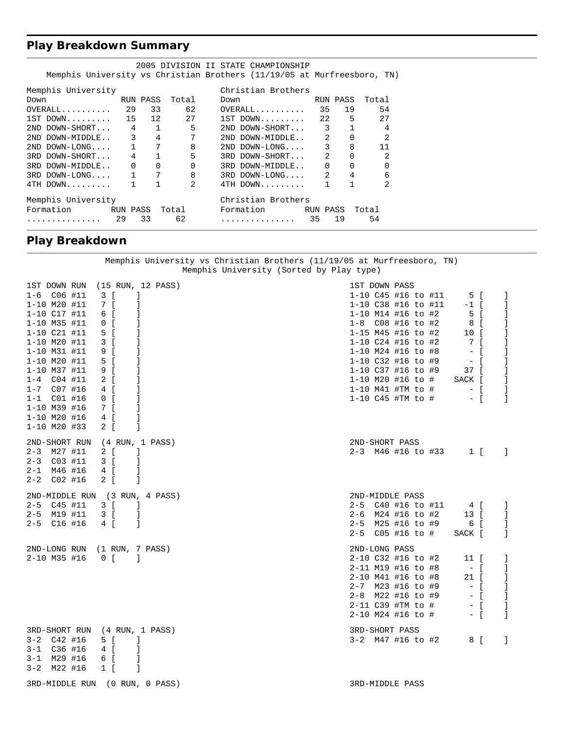### **Play Breakdown Summary**

|                       |          |              |       | 2005 DIVISION II STATE CHAMPIONSHIP                                     |    |              |                |  |
|-----------------------|----------|--------------|-------|-------------------------------------------------------------------------|----|--------------|----------------|--|
|                       |          |              |       | Memphis University vs Christian Brothers (11/19/05 at Murfreesboro, TN) |    |              |                |  |
| Memphis University    |          |              |       | Christian Brothers                                                      |    |              |                |  |
| Down                  | RUN PASS |              | Total | RUN PASS<br>Down                                                        |    |              | Total          |  |
| $OVERAIL$ 29 33       |          |              | 62    | $OVERALL$ 35 19                                                         |    |              | 54             |  |
|                       |          |              |       | $1ST$ DOWN 22 5 27                                                      |    |              |                |  |
| 2ND DOWN-SHORT 4 1    |          |              | 5     | 2ND DOWN-SHORT 3 1                                                      |    |              | 4              |  |
| 2ND DOWN-MIDDLE 3 4 7 |          |              |       | 2ND DOWN-MIDDLE 2 0                                                     |    |              | $\mathfrak{D}$ |  |
| $2ND$ DOWN-LONG 1 7   |          |              | 8     | $2ND$ DOWN-LONG 3                                                       |    | 8            | 11             |  |
| 3RD DOWN-SHORT 4 1    |          |              | 5     | 3RD DOWN-SHORT 2                                                        |    |              | $\mathfrak{D}$ |  |
| 3RD DOWN-MIDDLE 0 0   |          |              | 0     | 3RD DOWN-MIDDLE 0                                                       |    | $\Omega$     | $\Omega$       |  |
| $3RD$ DOWN-LONG 1 7   |          |              | 8     | $3RD$ DOWN-LONG $2$ 4                                                   |    |              | 6              |  |
| 4TH DOWN              |          | $\mathbf{1}$ | 2     | 4TH DOWN                                                                |    | $\mathbf{1}$ | 2              |  |
| Memphis University    |          |              |       | Christian Brothers                                                      |    |              |                |  |
|                       |          |              |       | Formation       RUN PASS Total      Formation       RUN PASS            |    |              | Total          |  |
| .                     | 29       | 33           | 62    | . <i>.</i> .                                                            | 35 | 19           | 54             |  |

## **Play Breakdown**

#### Memphis University vs Christian Brothers (11/19/05 at Murfreesboro, TN) Memphis University (Sorted by Play type)

| 1ST DOWN RUN       | (15 RUN, 12 PASS)              | 1ST DOWN PASS       |              |  |                           |                    |              |
|--------------------|--------------------------------|---------------------|--------------|--|---------------------------|--------------------|--------------|
| $1-6$ $C06$ #11    | 3 [<br>-1                      | 1-10 C45 #16 to #11 |              |  | 5 [                       |                    | $\mathbf{I}$ |
| 1-10 M20 #11       | 7 [<br>I                       | 1-10 C38 #16 to #11 |              |  | $-1$ [                    |                    | $\mathbf{1}$ |
| $1 - 10$ $C17$ #11 | 6 [<br>-1                      | 1-10 M14 #16 to #2  |              |  | 5 [                       |                    | -1           |
| 1-10 M35 #11       | $0$ [                          | 1-8 C08 #16 to #2   |              |  | 8 [                       |                    | <b>I</b>     |
| $1 - 10$ $C21$ #11 | 5 [                            | 1-15 M45 #16 to #2  |              |  | 10 [                      |                    |              |
| $1 - 10$ M20 #11   | $3 \mid$<br>-1                 | 1-10 C24 #16 to #2  |              |  | 7 [                       |                    | -1           |
| $1 - 10$ M31 #11   | 9 [                            | 1-10 M24 #16 to #8  |              |  | $  \left[$                |                    | $\mathbf{I}$ |
| $1 - 10$ M20 #11   | 5 [<br>-1                      | 1-10 C32 #16 to #9  |              |  |                           |                    | J.           |
| 1-10 M37 #11       | 9 [<br>-1                      | 1-10 C37 #16 to #9  |              |  | 37 [                      |                    | <b>I</b>     |
| $1 - 4$ $C04$ #11  | -1<br>2 [                      | 1-10 M20 #16 to #   |              |  | SACK [                    |                    | $\mathbf{1}$ |
| 1-7 C07 #16        | 4 [<br>-1                      |                     |              |  | $1-10$ M41 #TM to # $-$ [ |                    | $\mathbf{I}$ |
| $1 - 1$ $C01$ #16  | $0$ [                          | 1-10 C45 #TM to #   |              |  | $-$ [                     |                    | $\mathbf{1}$ |
| $1 - 10$ M39 #16   | 7 I                            |                     |              |  |                           |                    |              |
| $1 - 10$ M20 #16   | 4 [<br>-1                      |                     |              |  |                           |                    |              |
| $1 - 10$ M20 #33   | $2 \left[ \right]$<br>-1       |                     |              |  |                           |                    |              |
|                    | 2ND-SHORT RUN (4 RUN, 1 PASS)  | 2ND-SHORT PASS      |              |  |                           |                    |              |
| $2-3$ M27 #11      | 2 [<br>- 1                     | 2-3 M46 #16 to #33  |              |  |                           | $1 \left[ \right]$ | $\sim$ 1     |
| $2 - 3$ $C03$ #11  | 3 [<br>-1                      |                     |              |  |                           |                    |              |
| 2-1 M46 #16        | 4 [<br>-1                      |                     |              |  |                           |                    |              |
| $2 - 2$ $C02$ #16  | 2 [<br>$\Box$                  |                     |              |  |                           |                    |              |
|                    | 2ND-MIDDLE RUN (3 RUN, 4 PASS) | 2ND-MIDDLE PASS     |              |  |                           |                    |              |
| $2-5$ $C45$ #11    | 3 [<br>$\Box$                  |                     |              |  | 2-5 C40 #16 to #11 4 [    |                    | $\mathbf{I}$ |
| 2-5 M19 #11        | 3 [<br>-1                      | 2-6 M24 #16 to #2   |              |  | 13 [                      |                    | $\mathbf{I}$ |
| $2-5$ $C16$ #16    | 4 [<br>-1                      | 2-5 M25 #16 to #9   |              |  | 6 [                       |                    | <b>I</b>     |
|                    |                                | $2 - 5$             | C05 #16 to # |  | SACK [                    |                    | -1.          |
|                    | 2ND-LONG RUN (1 RUN, 7 PASS)   | 2ND-LONG PASS       |              |  |                           |                    |              |
| 2-10 M35 #16       | $0$ [ ]                        | 2-10 C32 #16 to #2  |              |  | 11 [                      |                    | -1           |
|                    |                                | 2-11 M19 #16 to #8  |              |  | $-$ [                     |                    | $\mathbf{1}$ |
|                    |                                | 2-10 M41 #16 to #8  |              |  | 21 [                      |                    | $\mathbf{I}$ |
|                    |                                | 2-7 M23 #16 to #9   |              |  |                           |                    | J.           |
|                    |                                | 2-8 M22 #16 to #9   |              |  |                           |                    | $\mathbf{I}$ |
|                    |                                | 2-11 C39 #TM to #   |              |  | $-$ [                     |                    | $\mathbf{I}$ |
|                    |                                | 2-10 M24 #16 to #   |              |  | $-$ [                     |                    | $\mathbb{1}$ |
|                    | 3RD-SHORT RUN (4 RUN, 1 PASS)  | 3RD-SHORT PASS      |              |  |                           |                    |              |
| $3-2$ $C42$ #16    | 5 [<br>-1                      | 3-2 M47 #16 to #2   |              |  | 8 [                       |                    | $\mathbf{I}$ |
| $3 - 1$ $C36$ #16  | 4 [                            |                     |              |  |                           |                    |              |
| $3 - 1$ M29 #16    | 6 [<br>-1                      |                     |              |  |                           |                    |              |
| $3-2$ M22 #16      | 1<br>$1 \quad$ [               |                     |              |  |                           |                    |              |

3RD-MIDDLE RUN (0 RUN, 0 PASS) 3RD-MIDDLE PASS